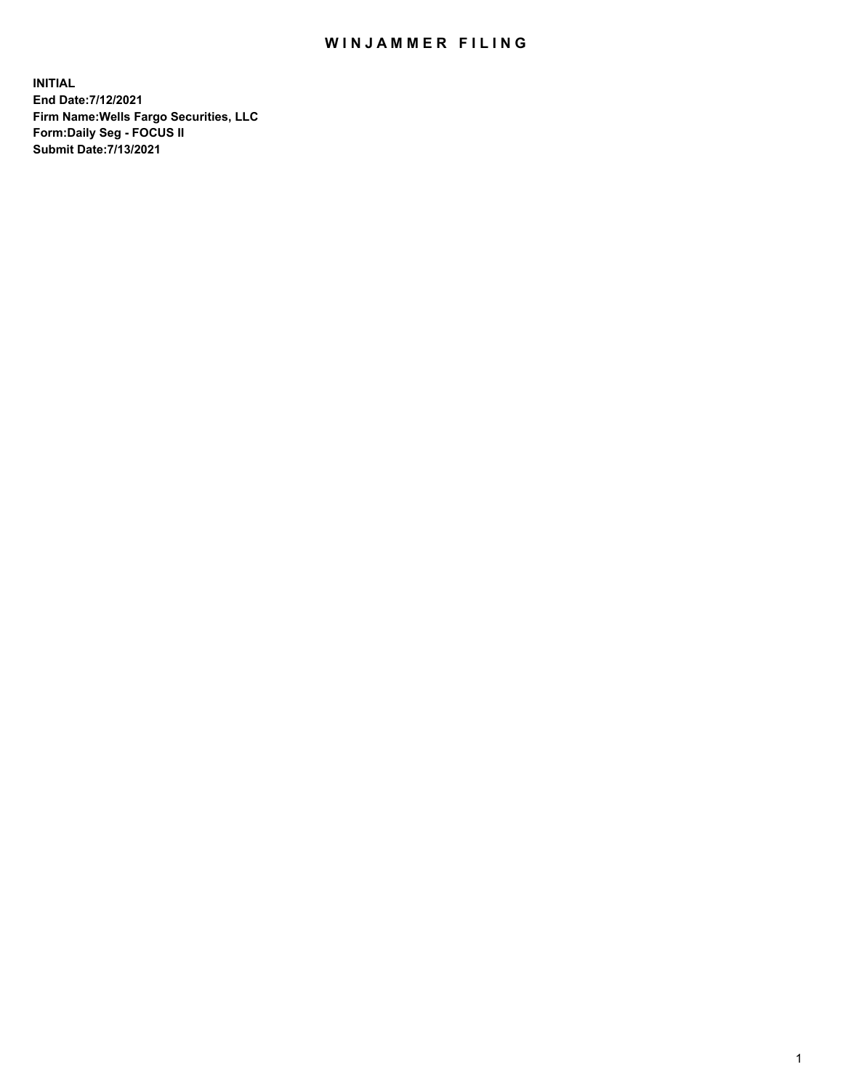## WIN JAMMER FILING

**INITIAL End Date:7/12/2021 Firm Name:Wells Fargo Securities, LLC Form:Daily Seg - FOCUS II Submit Date:7/13/2021**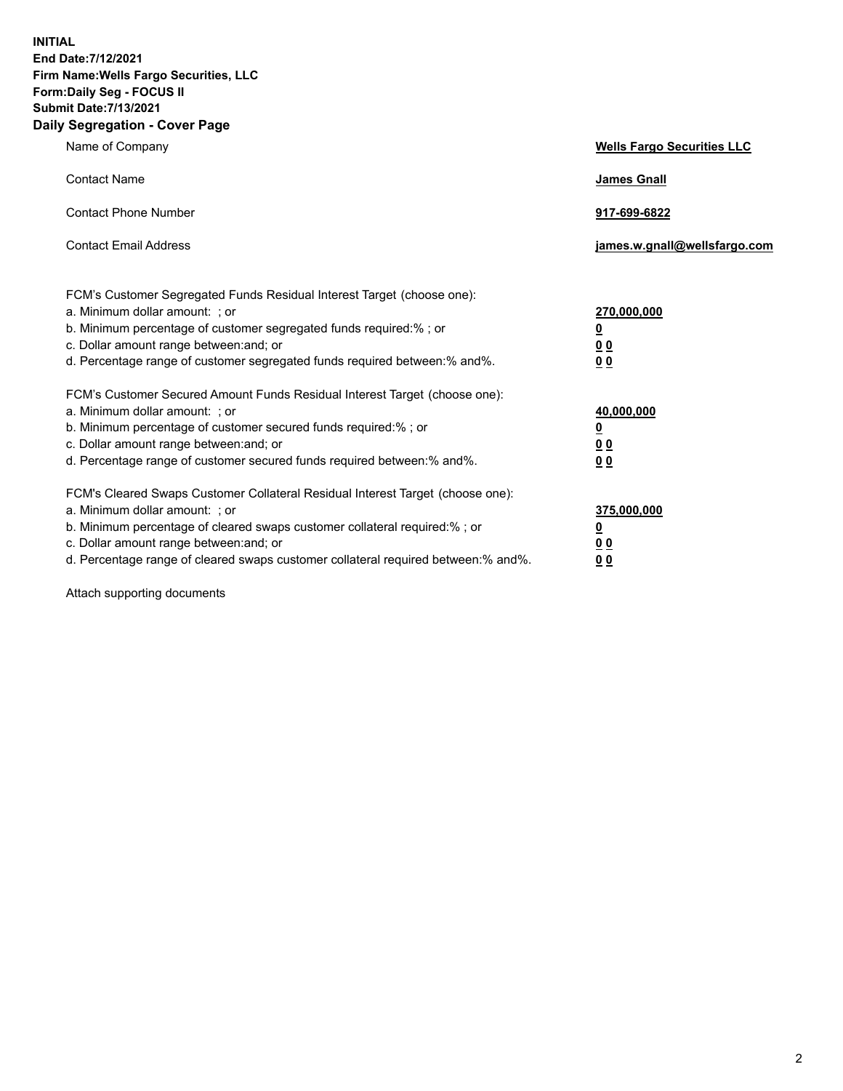**INITIAL End Date:7/12/2021 Firm Name:Wells Fargo Securities, LLC Form:Daily Seg - FOCUS II Submit Date:7/13/2021 Daily Segregation - Cover Page**

| Name of Company                                                                                                                                                                                                                                                                                                                | <b>Wells Fargo Securities LLC</b>                           |
|--------------------------------------------------------------------------------------------------------------------------------------------------------------------------------------------------------------------------------------------------------------------------------------------------------------------------------|-------------------------------------------------------------|
| <b>Contact Name</b>                                                                                                                                                                                                                                                                                                            | <b>James Gnall</b>                                          |
| <b>Contact Phone Number</b>                                                                                                                                                                                                                                                                                                    | 917-699-6822                                                |
| <b>Contact Email Address</b>                                                                                                                                                                                                                                                                                                   | james.w.gnall@wellsfargo.com                                |
| FCM's Customer Segregated Funds Residual Interest Target (choose one):<br>a. Minimum dollar amount: ; or<br>b. Minimum percentage of customer segregated funds required:% ; or<br>c. Dollar amount range between: and; or<br>d. Percentage range of customer segregated funds required between:% and%.                         | 270,000,000<br><u>0</u><br>0 <sub>0</sub><br>0 <sub>0</sub> |
| FCM's Customer Secured Amount Funds Residual Interest Target (choose one):<br>a. Minimum dollar amount: ; or<br>b. Minimum percentage of customer secured funds required:%; or<br>c. Dollar amount range between: and; or<br>d. Percentage range of customer secured funds required between:% and%.                            | 40,000,000<br><u>0</u><br>00<br>0 <sub>0</sub>              |
| FCM's Cleared Swaps Customer Collateral Residual Interest Target (choose one):<br>a. Minimum dollar amount: ; or<br>b. Minimum percentage of cleared swaps customer collateral required:% ; or<br>c. Dollar amount range between: and; or<br>d. Percentage range of cleared swaps customer collateral required between:% and%. | 375,000,000<br><u>0</u><br>0 <sub>0</sub><br>00             |

Attach supporting documents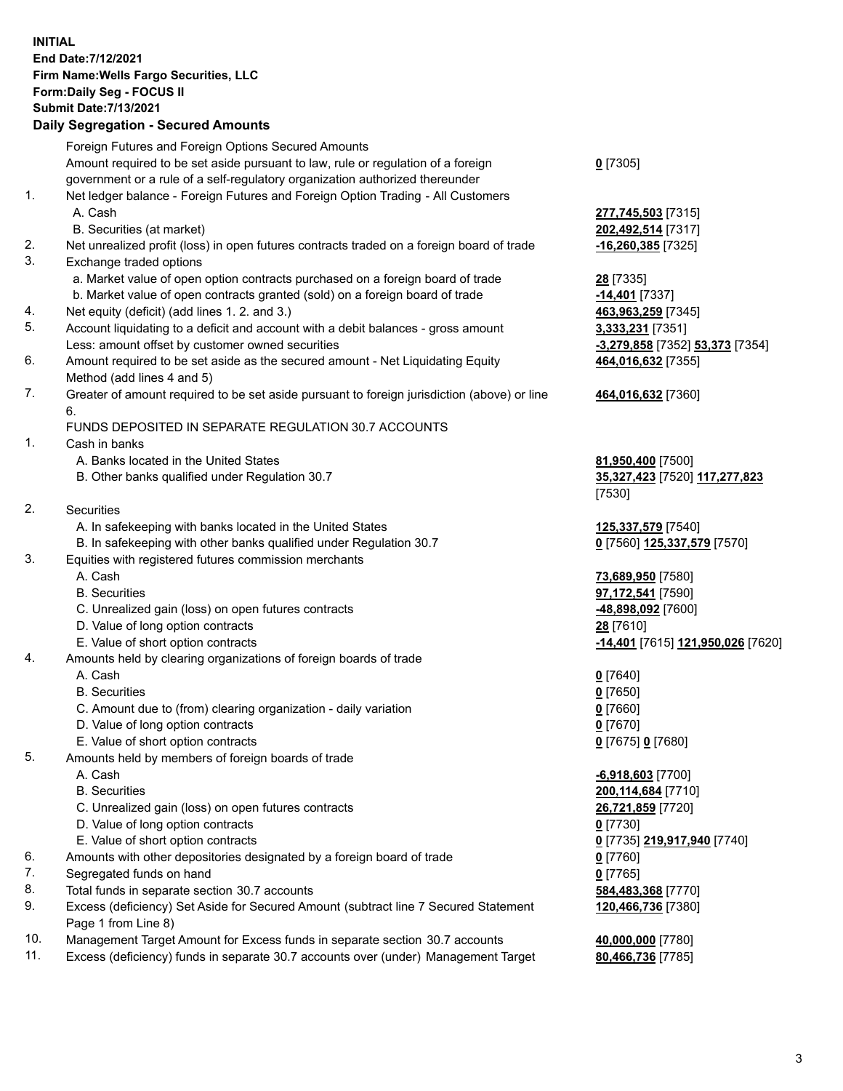**INITIAL End Date:7/12/2021 Firm Name:Wells Fargo Securities, LLC Form:Daily Seg - FOCUS II Submit Date:7/13/2021**

## **Daily Segregation - Secured Amounts**

|                 | Foreign Futures and Foreign Options Secured Amounts                                         |                                                       |
|-----------------|---------------------------------------------------------------------------------------------|-------------------------------------------------------|
|                 | Amount required to be set aside pursuant to law, rule or regulation of a foreign            | $0$ [7305]                                            |
|                 | government or a rule of a self-regulatory organization authorized thereunder                |                                                       |
| 1.              | Net ledger balance - Foreign Futures and Foreign Option Trading - All Customers             |                                                       |
|                 | A. Cash                                                                                     | 277,745,503 [7315]                                    |
|                 | B. Securities (at market)                                                                   | 202,492,514 [7317]                                    |
| 2.              | Net unrealized profit (loss) in open futures contracts traded on a foreign board of trade   | $-16,260,385$ [7325]                                  |
| 3.              | Exchange traded options                                                                     |                                                       |
|                 | a. Market value of open option contracts purchased on a foreign board of trade              | <b>28</b> [7335]                                      |
|                 | b. Market value of open contracts granted (sold) on a foreign board of trade                | -14,401 [7337]                                        |
| 4.              | Net equity (deficit) (add lines 1. 2. and 3.)                                               | 463,963,259 [7345]                                    |
| 5.              | Account liquidating to a deficit and account with a debit balances - gross amount           | 3,333,231 [7351]                                      |
|                 | Less: amount offset by customer owned securities                                            | -3,279,858 [7352] 53,373 [7354]                       |
| 6.              | Amount required to be set aside as the secured amount - Net Liquidating Equity              | 464,016,632 [7355]                                    |
|                 | Method (add lines 4 and 5)                                                                  |                                                       |
| 7.              | Greater of amount required to be set aside pursuant to foreign jurisdiction (above) or line | 464,016,632 [7360]                                    |
|                 | 6.                                                                                          |                                                       |
|                 | FUNDS DEPOSITED IN SEPARATE REGULATION 30.7 ACCOUNTS                                        |                                                       |
| 1.              | Cash in banks                                                                               |                                                       |
|                 | A. Banks located in the United States                                                       | 81,950,400 [7500]                                     |
|                 | B. Other banks qualified under Regulation 30.7                                              | 35,327,423 [7520] 117,277,823                         |
|                 |                                                                                             | [7530]                                                |
| 2.              | Securities                                                                                  |                                                       |
|                 | A. In safekeeping with banks located in the United States                                   | 125,337,579 [7540]                                    |
|                 | B. In safekeeping with other banks qualified under Regulation 30.7                          | 0 [7560] 125,337,579 [7570]                           |
| 3.              | Equities with registered futures commission merchants                                       |                                                       |
|                 | A. Cash                                                                                     | 73,689,950 [7580]                                     |
|                 | <b>B.</b> Securities                                                                        | 97,172,541 [7590]                                     |
|                 | C. Unrealized gain (loss) on open futures contracts                                         | -48,898,092 [7600]                                    |
|                 | D. Value of long option contracts                                                           | 28 [7610]                                             |
|                 | E. Value of short option contracts                                                          | <mark>-14,401</mark> [7615] <u>121,950,026</u> [7620] |
| 4.              | Amounts held by clearing organizations of foreign boards of trade<br>A. Cash                |                                                       |
|                 | <b>B.</b> Securities                                                                        | $0$ [7640]                                            |
|                 | C. Amount due to (from) clearing organization - daily variation                             | $0$ [7650]<br>$0$ [7660]                              |
|                 | D. Value of long option contracts                                                           | $0$ [7670]                                            |
|                 | E. Value of short option contracts                                                          | 0 [7675] 0 [7680]                                     |
| 5.              | Amounts held by members of foreign boards of trade                                          |                                                       |
|                 | A. Cash                                                                                     | $-6,918,603$ [7700]                                   |
|                 | <b>B.</b> Securities                                                                        | 200,114,684 [7710]                                    |
|                 | C. Unrealized gain (loss) on open futures contracts                                         | 26,721,859 [7720]                                     |
|                 | D. Value of long option contracts                                                           | $0$ [7730]                                            |
|                 | E. Value of short option contracts                                                          | 0 [7735] 219,917,940 [7740]                           |
| 6.              | Amounts with other depositories designated by a foreign board of trade                      | 0 [7760]                                              |
| 7.              | Segregated funds on hand                                                                    | $0$ [7765]                                            |
| 8.              | Total funds in separate section 30.7 accounts                                               | 584,483,368 [7770]                                    |
| 9.              | Excess (deficiency) Set Aside for Secured Amount (subtract line 7 Secured Statement         | 120,466,736 [7380]                                    |
|                 | Page 1 from Line 8)                                                                         |                                                       |
| $\overline{10}$ |                                                                                             | $A$ and and $T77001$                                  |

- 10. Management Target Amount for Excess funds in separate section 30.7 accounts **40,000,000** [7780]
- 11. Excess (deficiency) funds in separate 30.7 accounts over (under) Management Target **80,466,736** [7785]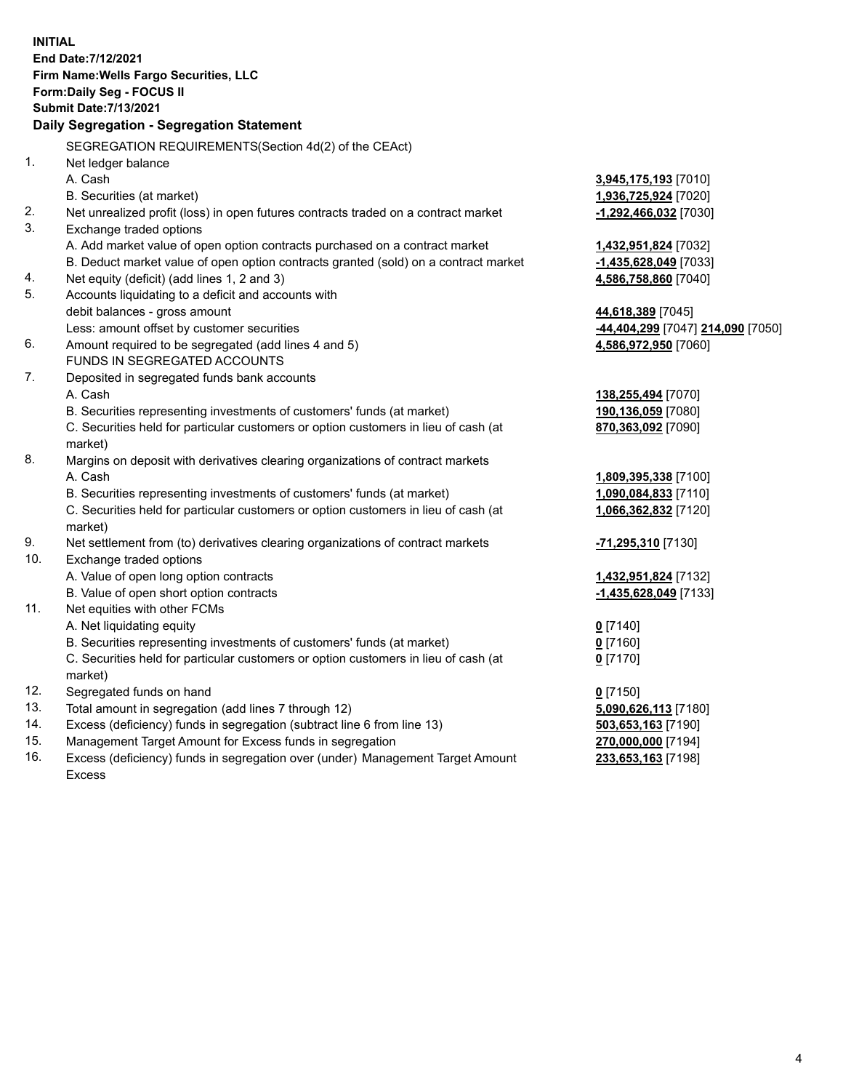**INITIAL End Date:7/12/2021 Firm Name:Wells Fargo Securities, LLC Form:Daily Seg - FOCUS II Submit Date:7/13/2021 Daily Segregation - Segregation Statement** SEGREGATION REQUIREMENTS(Section 4d(2) of the CEAct) 1. Net ledger balance A. Cash **3,945,175,193** [7010] B. Securities (at market) **1,936,725,924** [7020] 2. Net unrealized profit (loss) in open futures contracts traded on a contract market **-1,292,466,032** [7030] 3. Exchange traded options A. Add market value of open option contracts purchased on a contract market **1,432,951,824** [7032] B. Deduct market value of open option contracts granted (sold) on a contract market **-1,435,628,049** [7033] 4. Net equity (deficit) (add lines 1, 2 and 3) **4,586,758,860** [7040] 5. Accounts liquidating to a deficit and accounts with debit balances - gross amount **44,618,389** [7045] Less: amount offset by customer securities **-44,404,299** [7047] **214,090** [7050] 6. Amount required to be segregated (add lines 4 and 5) **4,586,972,950** [7060] FUNDS IN SEGREGATED ACCOUNTS 7. Deposited in segregated funds bank accounts A. Cash **138,255,494** [7070] B. Securities representing investments of customers' funds (at market) **190,136,059** [7080] C. Securities held for particular customers or option customers in lieu of cash (at market) **870,363,092** [7090] 8. Margins on deposit with derivatives clearing organizations of contract markets A. Cash **1,809,395,338** [7100] B. Securities representing investments of customers' funds (at market) **1,090,084,833** [7110] C. Securities held for particular customers or option customers in lieu of cash (at market) **1,066,362,832** [7120] 9. Net settlement from (to) derivatives clearing organizations of contract markets **-71,295,310** [7130] 10. Exchange traded options A. Value of open long option contracts **1,432,951,824** [7132] B. Value of open short option contracts **-1,435,628,049** [7133] 11. Net equities with other FCMs A. Net liquidating equity **0** [7140]

B. Securities representing investments of customers' funds (at market) **0** [7160]

C. Securities held for particular customers or option customers in lieu of cash (at market)

- 12. Segregated funds on hand **0** [7150]
- 13. Total amount in segregation (add lines 7 through 12) **5,090,626,113** [7180]
- 14. Excess (deficiency) funds in segregation (subtract line 6 from line 13) **503,653,163** [7190]
- 15. Management Target Amount for Excess funds in segregation **270,000,000** [7194]
- 16. Excess (deficiency) funds in segregation over (under) Management Target Amount Excess

**0** [7170]

**233,653,163** [7198]